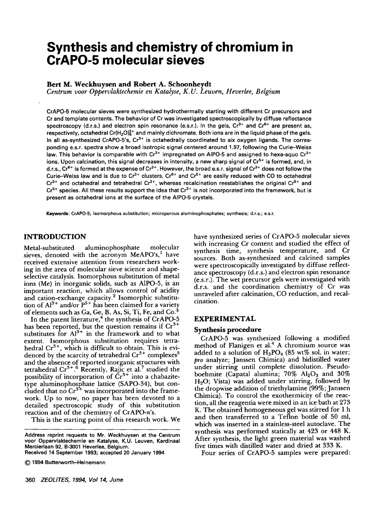# **Synthesis and chemistry of chromium in CrAPO-5 molecular sieves**

**Bert M. Weckhuysen and Robert A. Schoonheydt** 

*Centrum voor Oppervlaktechemie en Katalyse, K.U. Leuven, Heverlee, Belgium* 

CrAPO-5 molecular sieves were synthesized hydrothermally starting with different Cr **precursors and**  Cr and template contents. The behavior of Cr **was investigated spectroscopically** by diffuse **reflectance**  spectroscopy (d.r.s.) and electron spin resonance (e.s.r.). In the gels, Cr<sup>3+</sup> and Cr<sup>6+</sup> are present as, respectively, octahedral Cr(H<sub>2</sub>O)<sup>3+</sup> and mainly dichromate. Both ions are in the liquid phase of the gels. In all as-synthesized CrAPO-5's,  $Cr^{3+}$  is octahedrally coordinated to six oxygen ligands. The corres**ponding e.s.r, spectra** show a **broad isotropic signal centered** around 1.97, following the **Curie-Weiss**  law. This behavior is comparable with Cr<sup>3+</sup> impregnated on AIPO-5 and assigned to hexa-aquo Cr<sup>3+</sup> ions. Upon calcination, this signal decreases in intensity, a new sharp signal of Cr<sup>5+</sup> is formed, and, in d.r.s.,  $Cr^{6+}$  is formed at the expense of  $Cr^{3+}$ . However, the broad e.s.r. signal of  $Cr^{3+}$  does not follow the Curie-Weiss law and is due to Cr<sup>3+</sup> clusters. Cr<sup>6+</sup> and Cr<sup>5+</sup> are easily reduced with CO to octahedral Cr<sup>3+</sup> and octahedral and tetrahedral Cr<sup>2+</sup>, whereas recalcination reestablishes the original Cr<sup>6+</sup> and Cr<sup>5+</sup> species. All these results support the idea that Cr<sup>3+</sup> is not incorporated into the framework, but is **present as octahedral ions** at the surface of the AIPO-5 crystals.

**Keywords: CrAPO-5; isornorphous substitution; microporous alurninophosphates; synthesis;** d.r.s.; e.s.r.

## INTRODUCTION

Metal-substituted aluminophosphate molecular sieves, denoted with the acronym MeAPO's,<sup>1</sup> have received extensive attention from researchers working in the area of molecular sieve science and shapeselective catalysis. Isomorphous substitution of metal ions (Me) in inorganic solids, such as A1PO-5, is an important reaction, which allows control of acidity and cation-exchange capacity.<sup>2</sup> Isomorphic substitution of  $Al^{3+}$  and/or  $P^{5+}$  has been claimed for a variety of elements such as Ga, Ge, B, As, Si, Ti, Fe, and  $Co.^3$ 

In the patent literature, $4$  the synthesis of CrAPO-5 has been reported, but the question remains if  $Cr^{3+}$ substitutes for  $Al^{3+}$  in the framework and to what extent. Isomorphous substitution requires tetrahedral Cr<sup>3+</sup>, which is difficult to obtain. This is evidenced by the scarcity of tetrahedral  $Cr^{3+}$  complexes<sup>3</sup> and the absence of reported inorganic structures with tetrahedral Cr<sup>3+</sup>.<sup>6</sup> Recently, Rajic et al.' studied the possibility of incorporation of  $Cr^{3+}$  into a chabazitetype aluminophosphate lattice (SAPO-34), but concluded that no  $\mathrm{Cr^{3+}}$  was incorporated into the framework. Up to now, no paper has been devoted to a detailed spectroscopic study of this substitution reaction and of the chemistry of CrAPO-n's.

This is the starting point of this research work. We

**360** *ZEOLITES, 1994, Vol 14, June* 

have synthesized series of CrAPO-5 molecular sieves with increasing Cr content and studied the effect of synthesis time, synthesis temperature, and Cr sources. Both as-synthesized and calcined samples were spectroscopically investigated by diffuse reflectance spectroscopy (d.r.s.) and electron spin resonance (e.s.r.). The wet precursor gels were investigated with d.r.s, and the coordination chemistry of Cr was unraveled after calcination, CO reduction, and recalcination.

## **EXPERIMENTAL**

#### **Synthesis procedure**

CrAPO-5 was synthesized following a modified method of Flanigen et al. $4$  A chromium source was added to a solution of  $H_3PO_4$  (85 wt% sol. in water; pro analyze; Janssen Chimica) and bidistilled water under stirring until complete dissolution. Pseudoboehmite (Capatal alumina;  $70\%$  Al<sub>2</sub>O<sub>3</sub> and  $30\%$  $H<sub>2</sub>O$ ; Vista) was added under stirring, followed by the dropwise addition of triethylamine (99%; Janssen Chimica). To control the exothermicity of the reaction, all the reagentia were mixed in an ice bath at 273 K. The obtained homogeneous gel was stirred for 1 h and then transferred to a Teflon bottle of 50 ml, which was inserted in a stainless-steel autoclave. The synthesis was performed statically at 423 or 448 K. After synthesis, the light green material was washed five times with distilled water and dried at 333 K.

Four series of CrAPO-5 samples were prepared:

**Address reprint requests to Mr. Weckhuysen at the Centrum voor Oppervlaktechemie en Katalyse, K.U. Leuven, Kardinaal Mercierlaan 92, B-3001 Heverlee, Belgium. Received 14 September 1993; accepted 20 January 1994** 

**<sup>© 1994</sup> Butterworth-Heinemann**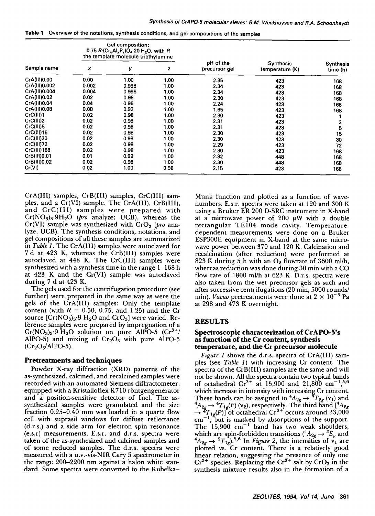| Sample name   | Gel composition:<br>0.75 $R$ (Cr <sub>x</sub> Al <sub>y</sub> P <sub>z</sub> )O <sub>4</sub> 20 H <sub>2</sub> O, with R<br>the template molecule triethylamine |       |      |                            |                              |                              |
|---------------|-----------------------------------------------------------------------------------------------------------------------------------------------------------------|-------|------|----------------------------|------------------------------|------------------------------|
|               | x                                                                                                                                                               | у     | z    | pH of the<br>precursor gel | Synthesis<br>temperature (K) | <b>Synthesis</b><br>time (h) |
| CrA(III)0.00  | 0.00                                                                                                                                                            | 1.00  | 1.00 | 2.35                       | 423                          | 168                          |
| CrA(III)0.002 | 0.002                                                                                                                                                           | 0.998 | 1.00 | 2.34                       | 423                          | 168                          |
| CrA(III)0.004 | 0.004                                                                                                                                                           | 0.996 | 1.00 | 2.34                       | 423                          | 168                          |
| CrA(III)0.02  | 0.02                                                                                                                                                            | 0.98  | 1.00 | 2.30                       | 423                          | 168                          |
| CrA(III)0.04  | 0.04                                                                                                                                                            | 0.96  | 1.00 | 2.24                       | 423                          | 168                          |
| CrA(III)0.08  | 0.08                                                                                                                                                            | 0.92  | 1.00 | 1.65                       | 423                          | 168                          |
| CrC(III)1     | 0.02                                                                                                                                                            | 0.98  | 1.00 | 2.30                       | 423                          |                              |
| CrC(III)2     | 0.02                                                                                                                                                            | 0.98  | 1.00 | 2.31                       | 423                          |                              |
| CrC(III)5     | 0.02                                                                                                                                                            | 0.98  | 1.00 | 2.31                       | 423                          | 5                            |
| CrC(III)15    | 0.02                                                                                                                                                            | 0.98  | 1.00 | 2.30                       | 423                          | 15                           |
| CrC(III)30    | 0.02                                                                                                                                                            | 0.98  | 1.00 | 2.30                       | 423                          | 30                           |
| CrC(III)72    | 0.02                                                                                                                                                            | 0.98  | 1.00 | 2.29                       | 423                          | 72                           |
| CrC(III)168   | 0.02                                                                                                                                                            | 0.98  | 1.00 | 2.30                       | 423                          | 168                          |
| CrB(III)0.01  | 0.01                                                                                                                                                            | 0.99  | 1.00 | 2.32                       | 448                          | 168                          |
| CrB(III)0.02  | 0.02                                                                                                                                                            | 0.98  | 1.00 | 2.30                       | 448                          | 168                          |
| Cr(VI)        | 0.02                                                                                                                                                            | 1.00  | 0.98 | 2.15                       | 423                          | 168                          |

|  | rable 1 Overview of the notations, synthesis conditions, and gel compositions of the sample- |  |  |  |
|--|----------------------------------------------------------------------------------------------|--|--|--|
|--|----------------------------------------------------------------------------------------------|--|--|--|

CrA(III) samples, CrB(III) samples, CrC(III) samples, and a Cr(VI) sample. The CrA(III), CrB(III), and CrC(III) samples were prepared with  $Cr(NO<sub>3</sub>)<sub>3</sub>·9H<sub>2</sub>O$  (pro analyze; UCB), whereas the Cr(VI) sample was synthesized with CrO<sub>3</sub> (pro analyze, UCB). The synthesis conditions, notations, and gel compositions of all these samples are summarized in *Table 1.* The CrA(III) samples were autoclaved for 7 d at 423 K, whereas the CrB(III) samples were autoclaved at 448 K. The CrC(III) samples were synthesized with a synthesis time in the range  $1-168$  h at 423 K and the Cr(VI) sample was autoclaved during 7 d at 423 K.

The gels used for the centrifugation procedure (see further) were prepared in the same way as were the gels of the CrA(III) samples: Only the template content (with  $R = 0.50$ , 0.75, and 1.25) and the Cr source  $[Cr(NO<sub>3</sub>)<sub>3</sub>·9 H<sub>2</sub>O$  and  $CrO<sub>3</sub>$ ] were varied. Reference samples were prepared by impregnation of a  $Cr(NO<sub>3</sub>)<sub>3</sub>·9 H<sub>2</sub>O$  solution on pure AlPO-5  $(Cr<sup>3+</sup>/$ AlPO-5) and mixing of  $Cr_2O_3$  with pure AlPO-5  $(Cr<sub>2</sub>O<sub>3</sub>/AlPO-5).$ 

#### **Pretreatments and techniques**

Powder X-ray diffraction (XRD) patterns of the as-synthesized, calcined, and recalcined samples were recorded with an automated Siemens diffractometer, equipped with a Kristalloflex K710 röntgengenerator and a position-sensitive detector of Inel. The assynthesized samples were granulated and the size fraction 0.25-0.40 mm was loaded in a quartz flow cell with suprasil windows for diffuse reflectance (d.r.s.) and a side arm for electron spin resonance (e.s.r) measurements. E.s.r. and d.r.s, spectra were taken of the as-synthesized and calcined samples and of some reduced samples. The d.r.s, spectra were measured with a u.v.-vis-NIR Cary 5 spectrometer in the range 200-2200 nm against a halon white standard. Some spectra were converted to the KubelkaMunk function and plotted as a function of wavenumbers. E.s.r. spectra were taken at 120 and 300 K using a Bruker ER 200 D-SRC instrument in X-band at a microwave power of  $200~\mu$ W with a double rectangular TEl04 mode cavity. Temperaturedependent measurements were done on a Bruker ESP300E equipment in X-band at the same microwave power between 370 and 120 K. Calcination and recalcination (after reduction) were performed at 823 K during 5 h with an  $O_2$  flowrate of 3600 ml/h, whereas reduction was done during  $30$  min with a CO flow rate of 1800 ml/h at 623 K. D.r.s. spectra were also taken from the wet precursor gels as such and after successive centrifugations (20 min, 5000 rounds/ min). *Vacuo* pretreatments were done at  $2 \times 10^{-3}$  Pa at 298 and 473 K overnight.

### **RESULTS**

#### **Spectroscopic characterization of CrAPO-5's as function of the Cr content, synthesis temperature, and the Cr precursor molecule**

*Figure I* shows the d.r.s, spectra of CrA(III) samples (see *Table 1)* with increasing Cr content. The spectra of the CrB(III) samples are the same and will not be shown. All the spectra contain two typical bands of octahedral  $Cr^{3+}$  at 15,900 and 21,800  $cm^{-1}$ ,<sup>5,6</sup> which increase in intensity with increasing Cr content. These bands can be assigned to  ${}^4A_{2g} \rightarrow {}^4T_{2g}$  ( $v_1$ ) and  ${}^4A_{2g}\rightarrow {}^4T_{1g}(F)$  (v<sub>2</sub>), respectively. The third band [ ${}^4A_{2g}$ ]  $\rightarrow$   ${}^{4}T_{1g}(P)$ ] of octahedral Cr<sup>3+</sup> occurs around 33,000  $cm^{-1}$ , but is masked by absorptions of the support. The  $15,900 \text{ cm}^{-1}$  band has two weak shoulders, which are spin-forbidden transitions ( ${}^4A_{2g} \rightarrow {}^2E_g$  and  ${}^4A_{2g} \rightarrow {}^2T_{1g}$ <sup>5,6</sup> In *Figure 2*, the intensities of  $v_1$  are plotted vs. Cr content. There is a relatively good linear relation, suggesting the presence of only one  $Cr^{3+}$  species. Replacing the  $Cr^{3+}$  salt by  $CrO_3$  in the synthesis mixture results also in the formation of a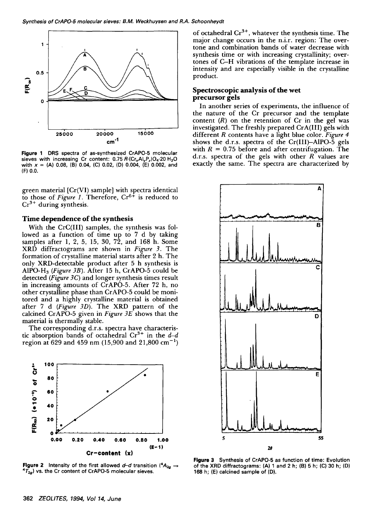

**Figure** 1 DRS **spectra of** as-synthesized CrAPO-5 molecular sieves with increasing Cr content: 0.75 R.(Cr<sub>x</sub>AI<sub>v</sub>P<sub>z</sub>)O<sub>4</sub>.20 H<sub>2</sub>O with  $x = (A)$  0.08, (B) 0.04, (C) 0.02, (D) 0.004, (E) 0.002, and (F) 0.0.

green material [Cr(VI) sample] with spectra identical to those of *Figure 1*. Therefore,  $Cr^{6+}$  is reduced to  $Cr<sup>3+</sup>$  during synthesis.

## **Time dependence of the synthesis**

With the CrC(III) samples, the synthesis was followed as a function of time up to 7 d by taking samples after 1, 2, 5, 15, 30, 72, and 168 h. Some XRD diffractograms are shown in *Figure 3.* The formation of crystalline material starts after 2 h. The only XRD-detectable product after 5 h synthesis is AIPO-Hs *(Figure 3B).* After 15 h, CrAPO-5 could be detected *(Figure 3C)* and longer synthesis times result in increasing amounts of CrAPO-5. After 72 h, no other crystalline phase than CrAPO-5 could be monitored and a highly crystalline material is obtained after 7 d *(Figure 3D).* The XRD pattern of the calcined CrAPO-5 given in *Figure 3E* shows that the material is thermally stable.

The corresponding d.r.s, spectra have characteristic absorption bands of octahedral  $Cr^{3+}$  in the  $d-d$ region at 629 and 459 nm (15,900 and 21,800 cm<sup>-1</sup>)



**Figure 2** Intensity of the first allowed  $d-d$  transition ( ${}^4A_{2g}$  -**4T2g)** vs. the Cr **content of CrAPO-5 molecular sieves.** 

of octahedral  $Cr^{3+}$ , whatever the synthesis time. The major change occurs in the n.i.r, region: The overtone and combination bands of water decrease with synthesis time or with increasing crystallinity; overtones of C-H vibrations of the template increase in intensity and are especially visible in the crystalline product.

## **Spectroscopic analysis of the wet precursor gels**

In another series of experiments, the influence of the nature of the Cr precursor and the template content  $(R)$  on the retention of  $Cr$  in the gel was investigated. The freshly prepared CrA(III) gels with different R contents have a light blue color. *Figure 4*  shows the d.r.s, spectra of the Cr(III)-AIPO-5 gels with  $R = 0.75$  before and after centrifugation. The d.r.s. spectra of the gels with other  $R$  values are exactly the same. The spectra are characterized by



**Figure 3 Synthesis of CrAPO-5 as function of time:** Evolution **of the XRD diffractograms:** (A) 1 and 2 h; (B) 5 h; (C) 30 h; (D) **168 h; (E) calcined sample of (D).**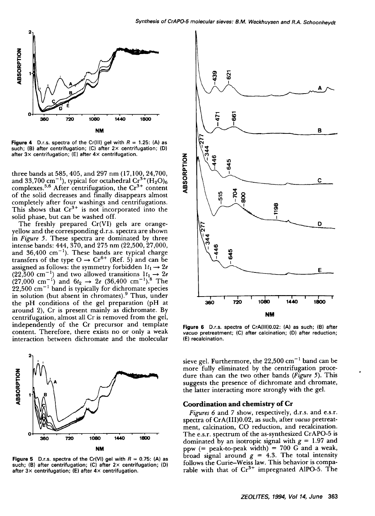

**Figure 4** D.r.s. spectra of the Cr(III) gel with  $R = 1.25$ : (A) as such; (B) **after centrifugation; (C) after 2x centrifugation;** (D) **after 3x centrifugation; (E) after 4x centrifugation.** 

three bands at 585,405, and 297 nm (17,100, 24,700, and 33,700 cm $^{-1}$ ), typical for octahedral Cr $^{3+}$ (H<sub>2</sub>O)<sub>6</sub> complexes.<sup>5,6</sup> After centrifugation, the Cr<sup>3+</sup> content of the solid decreases and finally disappears almost completely after four washings and centrifugations. This shows that  $Cr^{3+}$  is not incorporated into the solid phase, but can be washed off.

The freshly prepared Cr(VI) gels are orangeyellow and the corresponding d.r.s, spectra are shown in *Figure 5.* These spectra are dominated by three intense bands: 444, 370, and 275 nm (22,500, 27,000, and 36,400  $\text{cm}^{-1}$ ). These bands are typical charge transfers of the type  $O \rightarrow Cr^{b+}$  (Ref. 5) and can be assigned as follows: the symmetry forbidden  $1t_1 \rightarrow 2e$ (22,500 cm<sup>-1</sup>) and two allowed transitions  $1t_1 \rightarrow 2e$  $(27,000 \text{ cm}^{-1})$  and  $6t_2 \rightarrow 2e$   $(36,400 \text{ cm}^{-1})$ .<sup>8</sup> The  $22,500$  cm<sup>-1</sup> band is typically for dichromate species in solution (but absent in chromates).<sup>9</sup> Thus, under the pH conditions of the gel preparation (pH at around 2), Cr is present mainly as dichromate. By centrifugation, almost all Cr is removed from the gel, independently of the Cr precursor and template content. Therefore, there exists no or only a weak interaction between dichromate and the molecular



**Figure 5** D.r.s. spectra of the Cr(VI) gel with  $R = 0.75$ : (A) as **such; (B) after centrifugation; (C) after 2x centrifugation; (D) after 3x centrifugation; (E) after 4x centrifugation.** 



**Figure** 6 D.r.s. **spectra of** CrA(III)0.02: (A) **as such; (B) after**  *vacuo* pretreatment; (C) **after calcination; (D) after reduction;**  (E) **recalcination.** 

sieve gel. Furthermore, the  $22,500$  cm<sup>-1</sup> band can be more fully eliminated by the centrifugation procedure than can the two other bands *(Figure 5).* This suggests the presence of dichromate and chromate, the latter interacting more strongly with the gel.

#### **Coordination and chemistry of Cr**

*Figures 6* and 7 show, respectively, d.r.s, and e.s.r. spectra of CrA(III)0.02, as such, after *vacuo* pretreatment, calcination, CO reduction, and recalcination. The e.s.r, spectrum of the as-synthesized CrAPO-5 is dominated by an isotropic signal with  $g = 1.97$  and ppw  $(=$  peak-to-peak width) = 700 G and a weak, broad signal around  $g = 4.3$ . The total intensity follows the Curie-Weiss law. This behavior is comparable with that of  $Cr^{3+}$  impregnated AlPO-5. The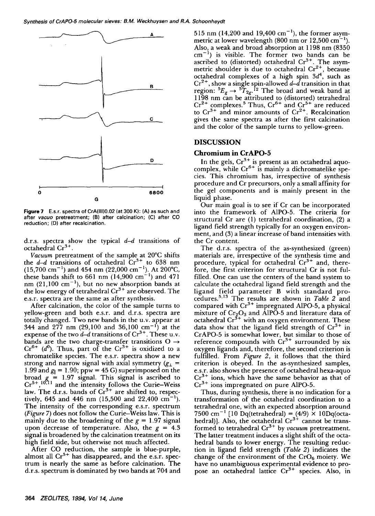

**Figure** 7 E.s.r. **spectra of** CrA(lll)0.02 (at 300 K): (A) as such **and after** *vacuo* pretreatment; (B) **after calcination; (C) after CO reduction; (D) after** recalcination.

d.r.s. spectra show the typical  $d-d$  transitions of octahedral  $Cr^{3+}$ .

*Vacuum* pretreatment of the sample at 20°C shifts the  $d-d$  transitions of octahedral  $Cr^{3+}$  to 638 nm  $(15,700 \text{ cm}^{-1})$  and 454 nm  $(22,000 \text{ cm}^{-1})$ . At 200°C, these bands shift to 661 nm  $(14,900 \text{ cm}^{-1})$  and 471 nm  $(21,100 \text{ cm}^{-1})$ , but no new absorption bands at the low energy of tetrahedral  $Cr^{3+}$  are observed. The e.s.r, spectra are the same as after synthesis.

After calcination, the color of the sample turns to yellow-green and both e.s.r, and d.r.s, spectra are totally changed. Two new bands in the u.v. appear at 344 and 277 nm (29,100 and 36,100 cm<sup>-1</sup>) at the expense of the two  $d-d$  transitions of  $Cr^{3+}$ . These u.v. bands are the two charge-transfer transitions O  $Cr^{6+}$  (d<sup>o</sup>). Thus, part of the  $Cr^{3+}$  is oxidized to a chromatelike species. The e.s.r, spectra show a new strong and narrow signal with axial symmetry  $(g<sub>1</sub> =$ 1.99 and  $g_{\parallel} = 1.90$ ; ppw = 45 G) superimposed on the broad  $g = 1.97$  signal. This signal is ascribed to  $Cr^{5+}$ ,  $10.71$  and the intensity follows the Curie–Weiss law. The d.r.s. bands of  $Cr^{3+}$  are shifted to, respectively, 645 and 446 nm (15,500 and 22,400 cm<sup>-1</sup>). The intensity of the corresponding e.s.r. spectrum *(Figure 7)* does not follow the Curie-Weiss law. This is mainly due to the broadening of the  $g = 1.97$  signal upon decrease of temperature. Also, the  $g = 4.3$ signal is broadened by the calcination treatment on its high field side, but otherwise not much affected.

After CO reduction, the sample is blue-purple, almost all  $Cr<sup>5+</sup>$  has disappeared, and the e.s.r. spectrum is nearly the same as before calcination. The d.r.s, spectrum is dominated by two bands at 704 and 515 nm (14,200 and 19,400 cm<sup>-1</sup>), the former asymmetric at lower wavelength (800 nm or 12,500 cm<sup> $-1$ </sup>). Also, a weak and broad absorption at 1198 nm (8350  $cm^{-1}$ ) is visible. The former two bands can be ascribed to (distorted) octahedral Cr<sup>3+</sup>. The asymmetric shoulder is due to octahedral  $Cr^{2+}$ , because octahedral complexes of a high spin  $3d<sup>4</sup>$ , such as  $Cr^{2+}$ , show a single spin-allowed d–d transition in that region:  ${}^5E_g \rightarrow {}^5T_{2g}$ .<sup>12</sup> The broad and weak band at 1198 nm can be attributed to (distorted) tetrahedral  $Cr^{2+}$  complexes.<sup>3</sup> Thus,  $Cr^{0+}$  and  $Cr^{3+}$  are reduced to  $Cr^{3+}$  and minor amounts of  $Cr^{2+}$ . Recalcination gives the same spectra as after the first calcination and the color of the sample turns to yellow-green.

## **DISCUSSION**

#### **Chromium in CrAPO-5**

In the gels,  $Cr^{3+}$  is present as an octahedral aquocomplex, while  $Cr^{0+}$  is mainly a dichromatelike species. This chromium has, irrespective of synthesis procedure and Cr precursors, only a small affinity for the gel components and is mainly present in the liquid phase.

Our main goal is to see if Cr can be incorporated into the framework of A1PO-5. The criteria for structural Cr are (1) tetrahedral coordination, (2) a ligand field strength typically for an oxygen environment, and (3) a linear increase of band intensities with the Cr content.

The d.r.s, spectra of the as-synthesized (green) materials are, irrespective of the synthesis time and procedure, typical for octahedral  $Cr^{3+}$  and, therefore, the first criterion for structural Cr is not fulfilled. One can use the centers of the band system to calculate the octahedral ligand field strength and the ligand field parameter B with standard procedures.<sup>5,13</sup> The results are shown in *Table 2* and compared with  $Cr^{3+}$  impregnated AlPO-5, a physical mixture of  $Cr_2O_3$  and AlPO-5 and literature data of octahedral  $Cr^{3+}$  with an oxygen environment. These data show that the ligand field strength of  $Cr^{3+}$  in CrAPO-5 is somewhat lower, but similar to those of reference compounds with  $Cr^{3+}$  surrounded by six oxygen ligands and, therefore, the second criterion is fulfilled. From *Figure 2,* it follows that the third criterion is obeyed. In the as-synthesized samples, e.s.r, also shows the presence of octahedral hexa-aquo  $Cr^{3+}$  ions, which have the same behavior as that of  $Cr^{3+}$  ions impregnated on pure AlPO-5.

Thus, during synthesis, there is no indication for a transformation of the octahedral coordination to a tetrahedral one, with an expected absorption around 7500 cm<sup>-1</sup> [10 Dq(tetrahedral) =  $(4/9) \times 10Dq$ (octahedral)]. Also, the octahedral  $Cr^{3+}$  cannot be transformed to tetrahedral Cr 3+ by *vacuum* pretreatment. The latter treatment induces a slight shift of the octahedral bands to lower energy. The resulting reduction in ligand field strength *(Table 2)* indicates the change of the environment of the  $CrO<sub>6</sub>$  moiety. We have no unambiguous experimental evidence to propose an octahedral lattice Cr<sup>3+</sup> species. Also, in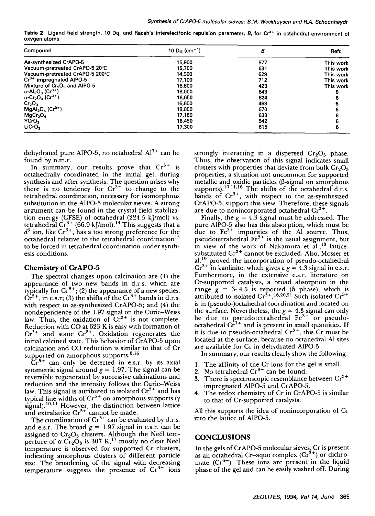Table 2 Ligand field strength, 10 Dq, and Racah's interelectronic repulsion parameter, B, for Cr<sup>3+</sup> in octahedral environment of **oxygen atoms** 

| Compound                                                     | 10 Dg (cm <sup>-1</sup> ) | В   | Refs.     |
|--------------------------------------------------------------|---------------------------|-----|-----------|
| As-synthesized CrAPO-5                                       | 15,900                    | 577 | This work |
| Vacuum-pretreated CrAPO-5 20°C                               | 15,700                    | 631 | This work |
| Vacuum-pretreated CrAPO-5 200°C                              | 14,900                    | 629 | This work |
| $Cr^{3+}$ impregnated AIPO-5                                 | 17,100                    | 712 | This work |
| Mixture of $Cr2O3$ and AIPO-5                                | 16,800                    | 423 | This work |
| $\alpha$ -Al <sub>2</sub> O <sub>3</sub> (Cr <sup>3+</sup> ) | 18.000                    | 643 |           |
| $\alpha$ -Cr <sub>2</sub> O <sub>3</sub> (Cr <sup>3+</sup> ) | 16,650                    | 624 |           |
| Cr <sub>2</sub> O <sub>3</sub>                               | 16,600                    | 468 |           |
| $MgAl2O4 (Cr3+)$                                             | 18,000                    | 670 |           |
| MgCr <sub>2</sub> O <sub>4</sub>                             | 17,150                    | 633 |           |
| YCrO,                                                        | 16,450                    | 542 |           |
| LiCrO <sub>2</sub>                                           | 17,300                    | 615 |           |

dehydrated pure AIPO-5, no octahedral  $Al^{3+}$  can be found by n.m.r.

In summary, our results prove that  $Cr^{3+}$  is octahedrally coordinated in the initial gel, during synthesis and after synthesis. The question arises why there is no tendency for  $Cr^{3+}$  to change to the tetrahedral coordination, necessary for isomorphous substitution in the A1PO-5 molecular sieves. A strong argument can be found in the crystal field stabilization energy (CFSE) of octahedral (224.5 kJ/mol) vs. tetrahedral  $Cr^{3+}$  (66.9 kJ/mol). <sup>14</sup> This suggests that a  $d^3$  ion, like Cr<sup>3+</sup>, has a too strong preference for the octahedral relative to the tetrahedral coordination<sup>15</sup> **to** be forced in tetrahedral coordination under synthesis conditions.

#### **Chemistry of CrAPO-5**

The spectral changes upon calcination are (1) the appearance of two new bands in d.r.s, which are typically for  $Cr^{6+}$ ; (2) the appearance of a new species,  $Cr<sup>5+</sup>$ , in e.s.r; (3) the shifts of the  $Cr<sup>3+</sup>$  bands in d.r.s. with respect to as-synthesized CrAPO-5; and (4) the nondependence of the 1.97 signal on the Curie-Weiss law. Thus, the oxidation of  $Cr^{3+}$  is not complete. Reduction with CO at 623 K is easy with formation of  $Cr^{3+}$  and some  $Cr^{2+}$ . Oxidation regenerates the initial calcined state. This behavior of CrAPO-5 upon calcination and CO reduction is similar to that of Cr supported on amorphous supports.<sup>8,16</sup>

 $Cr<sup>5+</sup>$  can only be detected in e.s.r. by its axial symmetric signal around  $g = 1.97$ . The signal can be reversible regenerated by successive calcinations and reduction and the intensity follows the Curie-Weiss law. This signal is attributed to isolated  $Cr^{5+}$  and has typical line widths of  $Cr^{5+}$  on amorphous supports ( $\gamma$ signal).<sup>10,11</sup> However, the distinction between lattice and extralattice  $Cr<sup>5+</sup>$  cannot be made.

The coordination of  $Cr^{3+}$  can be evaluated by d.r.s. and e.s.r. The broad  $g = 1.97$  signal in e.s.r. can be assigned to  $Cr_2O_3$  clusters. Although the Neél temperture of  $\alpha$ -Cr<sub>2</sub>O<sub>3</sub> is 307 K,<sup>17</sup> mostly no clear Neél temperature is observed for supported Cr clusters, indicating amorphous clusters of different particle size. The broadening of the signal with decreasing temperature suggests the presence of  $Cr^{3+}$  ions strongly interacting in a dispersed  $Cr_2O_3$  phase. Thus, the observation of this signal indicates small clusters with properties that deviate from bulk  $Cr_2O_3$ properties, a situation not uncommon for supported metallic and oxidic particles  $(\beta$ -signal on amorphous supports).  $^{10,11,16}$  The shifts of the octahedral d.r.s. bands of  $Cr^{3+}$ , with respect to the as-synthesized CrAPO-5, support this view. Therefore, these signals are due to nonincorporated octahedral  $Cr^{3+}$ .

Finally, the  $g = 4.3$  signal must be addressed. The pure AIPO-5 also has this absorption, which must be due to Fe<sup>3+</sup> impurities of the Al source. Thus, pseudotetrahedral  $Fe<sup>3+</sup>$  is the usual assignment, but in view of the work of Nakamura et al.,<sup>18</sup> latticesubstituted  $Cr^{3+}$  cannot be excluded. Also, Mosser et al.<sup>19</sup> proved the incorporation of pseudo-octahedral  $Cr^{3+1}$  in kaolinite, which gives a  $g = 4.3$  signal in e.s.r. Furthermore, in the extensive e.s.r. literature on Cr-supported catalysts, a broad absorption in the range  $g = 3-4.5$  is reported (8 phase), which is attributed to isolated  $Cr^{3+16,20,21}$  Such isolated  $Cr^{3+1}$ is in (pseudo-)octahedral coordination and located on the surface. Nevertheless, the  $g = 4.3$  signal can only be due to pseudotetrahedral  $Fe<sup>3+</sup>$  or pseudooctahedral  $Cr<sup>3+</sup>$  and is present in small quantities. If it is due to pseudo-octahedral  $Cr<sup>3+</sup>$ , this  $Cr$  must be located at the surface, because no octahedral A1 sites are available for Cr in dehydrated A1PO-5.

In summary, our results clearly show the following:

- 1. The affinity of the Cr-ions for the gel is small.
- 2. No tetrahedral  $Cr<sup>3+</sup>$  can be found.
- 3. There is spectroscopic resemblance between  $Cr^{3+}$ impregnated A1PO-5 and CrAPO-5.
- 4. The redox chemistry of Cr in CrAPO-5 is similar to that of Cr-supported catalysts.

All this supports the idea of nonincorporation of Cr into the lattice of AIPO-5.

#### **CONCLUSIONS**

In the gels of CrAPO-5 molecular sieves, Cr is present as an octahedral Cr-aquo complex  $(Cr<sup>3+</sup>)$  or dichromate  $(Cr^{6+})$ . These ions are present in the liquid phase of the gel and can be easily washed off. During